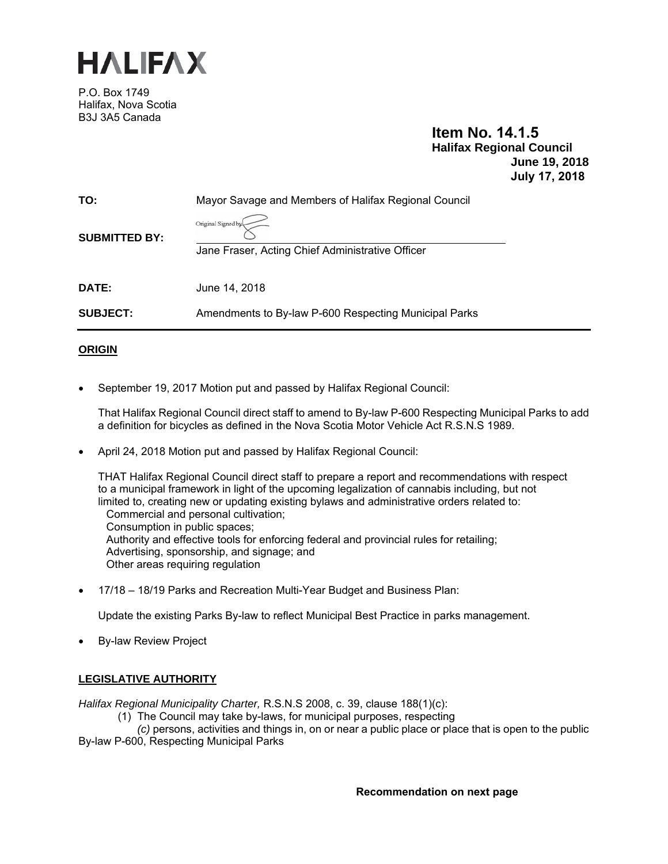

P.O. Box 1749 Halifax, Nova Scotia B3J 3A5 Canada

# **Item No. 14.1.5 Halifax Regional Council June 19, 2018 July 17, 2018**

| TO:                  | Mayor Savage and Members of Halifax Regional Council<br>Original Signed by |  |
|----------------------|----------------------------------------------------------------------------|--|
| <b>SUBMITTED BY:</b> | Jane Fraser, Acting Chief Administrative Officer                           |  |
| DATE:                | June 14, 2018                                                              |  |
| <b>SUBJECT:</b>      | Amendments to By-law P-600 Respecting Municipal Parks                      |  |

# **ORIGIN**

September 19, 2017 Motion put and passed by Halifax Regional Council:

That Halifax Regional Council direct staff to amend to By-law P-600 Respecting Municipal Parks to add a definition for bicycles as defined in the Nova Scotia Motor Vehicle Act R.S.N.S 1989.

April 24, 2018 Motion put and passed by Halifax Regional Council:

THAT Halifax Regional Council direct staff to prepare a report and recommendations with respect to a municipal framework in light of the upcoming legalization of cannabis including, but not limited to, creating new or updating existing bylaws and administrative orders related to: Commercial and personal cultivation; Consumption in public spaces; Authority and effective tools for enforcing federal and provincial rules for retailing; Advertising, sponsorship, and signage; and Other areas requiring regulation

17/18 – 18/19 Parks and Recreation Multi-Year Budget and Business Plan:

Update the existing Parks By-law to reflect Municipal Best Practice in parks management.

By-law Review Project

# **LEGISLATIVE AUTHORITY**

*Halifax Regional Municipality Charter,* R.S.N.S 2008, c. 39, clause 188(1)(c):

(1) The Council may take by-laws, for municipal purposes, respecting

*(c)* persons, activities and things in, on or near a public place or place that is open to the public By-law P-600, Respecting Municipal Parks

**Recommendation on next page**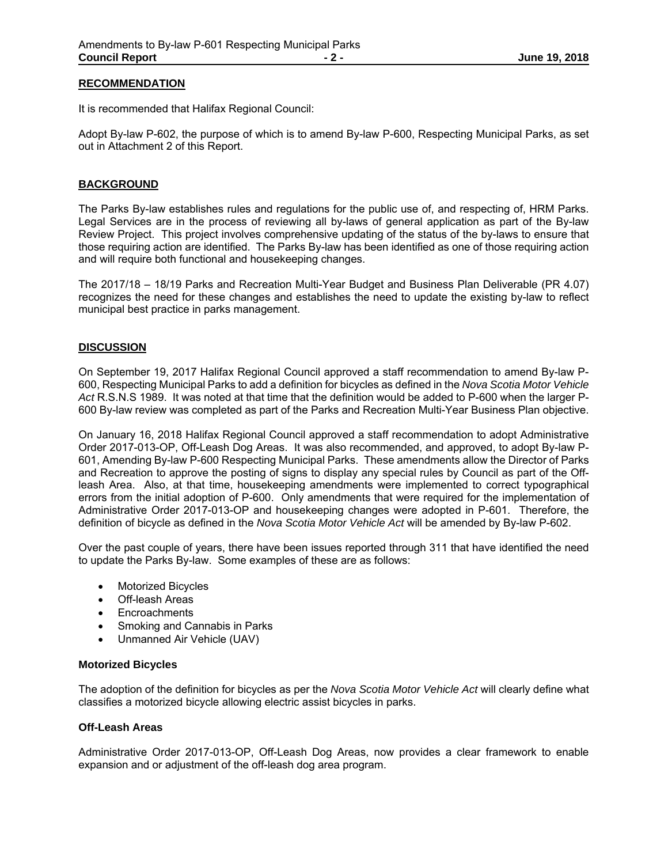#### **RECOMMENDATION**

It is recommended that Halifax Regional Council:

Adopt By-law P-602, the purpose of which is to amend By-law P-600, Respecting Municipal Parks, as set out in Attachment 2 of this Report.

### **BACKGROUND**

The Parks By-law establishes rules and regulations for the public use of, and respecting of, HRM Parks. Legal Services are in the process of reviewing all by-laws of general application as part of the By-law Review Project. This project involves comprehensive updating of the status of the by-laws to ensure that those requiring action are identified. The Parks By-law has been identified as one of those requiring action and will require both functional and housekeeping changes.

The 2017/18 – 18/19 Parks and Recreation Multi-Year Budget and Business Plan Deliverable (PR 4.07) recognizes the need for these changes and establishes the need to update the existing by-law to reflect municipal best practice in parks management.

### **DISCUSSION**

On September 19, 2017 Halifax Regional Council approved a staff recommendation to amend By-law P-600, Respecting Municipal Parks to add a definition for bicycles as defined in the *Nova Scotia Motor Vehicle Act* R.S.N.S 1989. It was noted at that time that the definition would be added to P-600 when the larger P-600 By-law review was completed as part of the Parks and Recreation Multi-Year Business Plan objective.

On January 16, 2018 Halifax Regional Council approved a staff recommendation to adopt Administrative Order 2017-013-OP, Off-Leash Dog Areas. It was also recommended, and approved, to adopt By-law P-601, Amending By-law P-600 Respecting Municipal Parks. These amendments allow the Director of Parks and Recreation to approve the posting of signs to display any special rules by Council as part of the Offleash Area. Also, at that time, housekeeping amendments were implemented to correct typographical errors from the initial adoption of P-600. Only amendments that were required for the implementation of Administrative Order 2017-013-OP and housekeeping changes were adopted in P-601. Therefore, the definition of bicycle as defined in the *Nova Scotia Motor Vehicle Act* will be amended by By-law P-602.

Over the past couple of years, there have been issues reported through 311 that have identified the need to update the Parks By-law. Some examples of these are as follows:

- Motorized Bicycles
- Off-leash Areas
- Encroachments
- Smoking and Cannabis in Parks
- Unmanned Air Vehicle (UAV)

#### **Motorized Bicycles**

The adoption of the definition for bicycles as per the *Nova Scotia Motor Vehicle Act* will clearly define what classifies a motorized bicycle allowing electric assist bicycles in parks.

#### **Off-Leash Areas**

Administrative Order 2017-013-OP, Off-Leash Dog Areas, now provides a clear framework to enable expansion and or adjustment of the off-leash dog area program.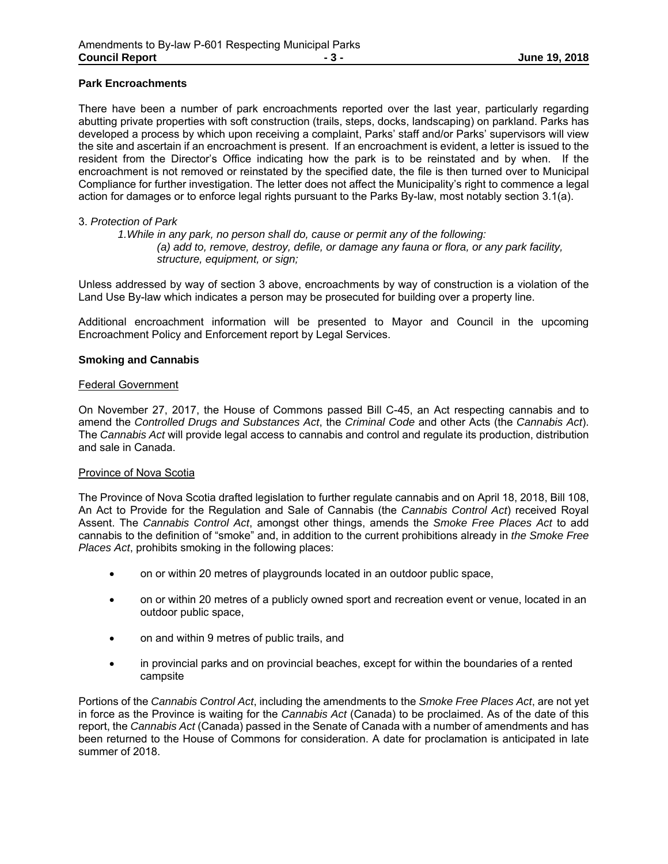### **Park Encroachments**

There have been a number of park encroachments reported over the last year, particularly regarding abutting private properties with soft construction (trails, steps, docks, landscaping) on parkland. Parks has developed a process by which upon receiving a complaint, Parks' staff and/or Parks' supervisors will view the site and ascertain if an encroachment is present. If an encroachment is evident, a letter is issued to the resident from the Director's Office indicating how the park is to be reinstated and by when. If the encroachment is not removed or reinstated by the specified date, the file is then turned over to Municipal Compliance for further investigation. The letter does not affect the Municipality's right to commence a legal action for damages or to enforce legal rights pursuant to the Parks By-law, most notably section 3.1(a).

#### 3. *Protection of Park*

 *1.While in any park, no person shall do, cause or permit any of the following: (a) add to, remove, destroy, defile, or damage any fauna or flora, or any park facility, structure, equipment, or sign;* 

Unless addressed by way of section 3 above, encroachments by way of construction is a violation of the Land Use By-law which indicates a person may be prosecuted for building over a property line.

Additional encroachment information will be presented to Mayor and Council in the upcoming Encroachment Policy and Enforcement report by Legal Services.

#### **Smoking and Cannabis**

#### Federal Government

On November 27, 2017, the House of Commons passed Bill C-45, an Act respecting cannabis and to amend the *Controlled Drugs and Substances Act*, the *Criminal Code* and other Acts (the *Cannabis Act*). The *Cannabis Act* will provide legal access to cannabis and control and regulate its production, distribution and sale in Canada.

### Province of Nova Scotia

The Province of Nova Scotia drafted legislation to further regulate cannabis and on April 18, 2018, Bill 108, An Act to Provide for the Regulation and Sale of Cannabis (the *Cannabis Control Act*) received Royal Assent. The *Cannabis Control Act*, amongst other things, amends the *Smoke Free Places Act* to add cannabis to the definition of "smoke" and, in addition to the current prohibitions already in *the Smoke Free Places Act*, prohibits smoking in the following places:

- on or within 20 metres of playgrounds located in an outdoor public space,
- on or within 20 metres of a publicly owned sport and recreation event or venue, located in an outdoor public space,
- on and within 9 metres of public trails, and
- in provincial parks and on provincial beaches, except for within the boundaries of a rented campsite

Portions of the *Cannabis Control Act*, including the amendments to the *Smoke Free Places Act*, are not yet in force as the Province is waiting for the *Cannabis Act* (Canada) to be proclaimed. As of the date of this report, the *Cannabis Act* (Canada) passed in the Senate of Canada with a number of amendments and has been returned to the House of Commons for consideration. A date for proclamation is anticipated in late summer of 2018.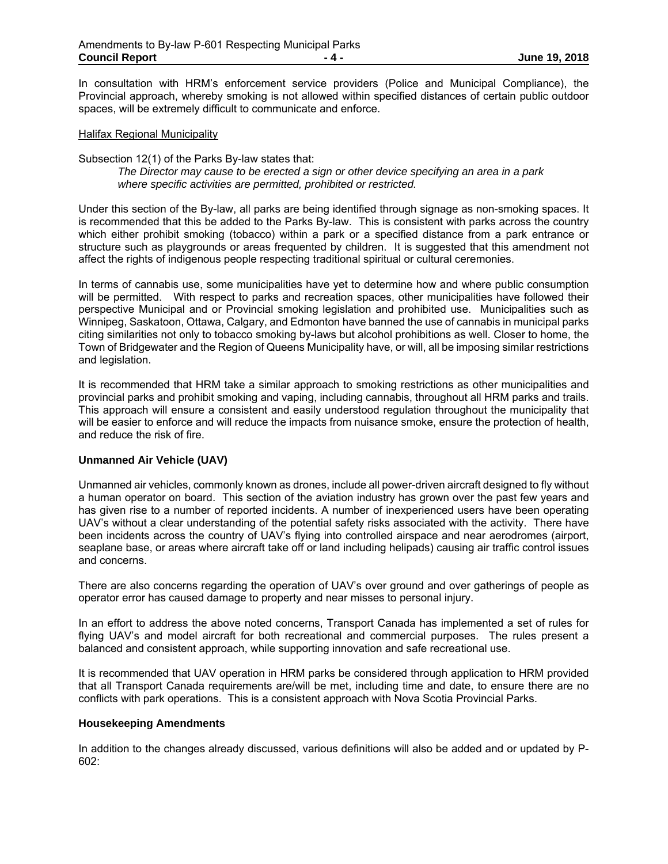In consultation with HRM's enforcement service providers (Police and Municipal Compliance), the Provincial approach, whereby smoking is not allowed within specified distances of certain public outdoor spaces, will be extremely difficult to communicate and enforce.

#### Halifax Regional Municipality

Subsection 12(1) of the Parks By-law states that:

*The Director may cause to be erected a sign or other device specifying an area in a park where specific activities are permitted, prohibited or restricted.* 

Under this section of the By-law, all parks are being identified through signage as non-smoking spaces. It is recommended that this be added to the Parks By-law. This is consistent with parks across the country which either prohibit smoking (tobacco) within a park or a specified distance from a park entrance or structure such as playgrounds or areas frequented by children. It is suggested that this amendment not affect the rights of indigenous people respecting traditional spiritual or cultural ceremonies.

In terms of cannabis use, some municipalities have yet to determine how and where public consumption will be permitted. With respect to parks and recreation spaces, other municipalities have followed their perspective Municipal and or Provincial smoking legislation and prohibited use. Municipalities such as Winnipeg, Saskatoon, Ottawa, Calgary, and Edmonton have banned the use of cannabis in municipal parks citing similarities not only to tobacco smoking by-laws but alcohol prohibitions as well. Closer to home, the Town of Bridgewater and the Region of Queens Municipality have, or will, all be imposing similar restrictions and legislation.

It is recommended that HRM take a similar approach to smoking restrictions as other municipalities and provincial parks and prohibit smoking and vaping, including cannabis, throughout all HRM parks and trails. This approach will ensure a consistent and easily understood regulation throughout the municipality that will be easier to enforce and will reduce the impacts from nuisance smoke, ensure the protection of health, and reduce the risk of fire.

### **Unmanned Air Vehicle (UAV)**

Unmanned air vehicles, commonly known as drones, include all power-driven aircraft designed to fly without a human operator on board. This section of the aviation industry has grown over the past few years and has given rise to a number of reported incidents. A number of inexperienced users have been operating UAV's without a clear understanding of the potential safety risks associated with the activity. There have been incidents across the country of UAV's flying into controlled airspace and near aerodromes (airport, seaplane base, or areas where aircraft take off or land including helipads) causing air traffic control issues and concerns.

There are also concerns regarding the operation of UAV's over ground and over gatherings of people as operator error has caused damage to property and near misses to personal injury.

In an effort to address the above noted concerns, Transport Canada has implemented a set of rules for flying UAV's and model aircraft for both recreational and commercial purposes. The rules present a balanced and consistent approach, while supporting innovation and safe recreational use.

It is recommended that UAV operation in HRM parks be considered through application to HRM provided that all Transport Canada requirements are/will be met, including time and date, to ensure there are no conflicts with park operations. This is a consistent approach with Nova Scotia Provincial Parks.

#### **Housekeeping Amendments**

In addition to the changes already discussed, various definitions will also be added and or updated by P-602: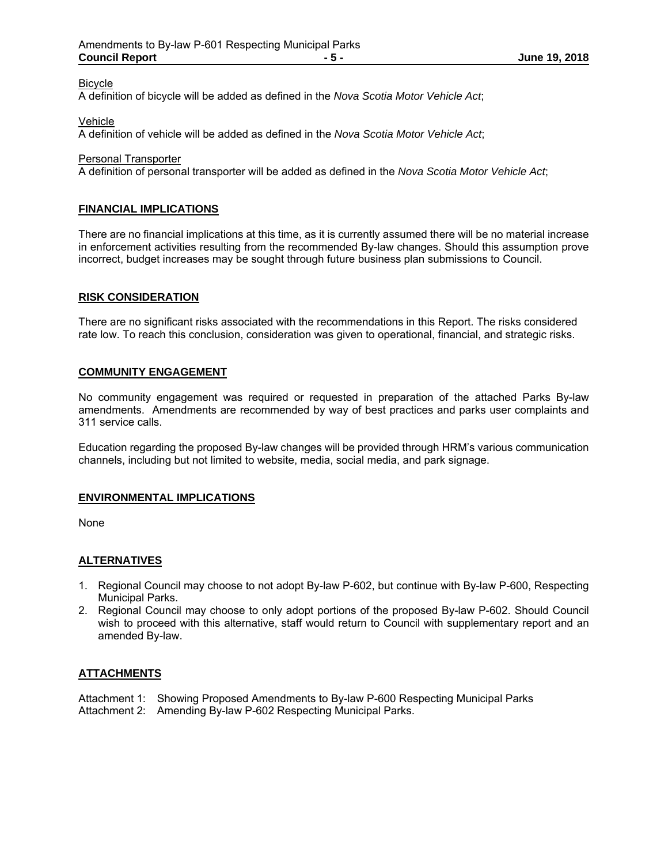#### Bicycle

A definition of bicycle will be added as defined in the *Nova Scotia Motor Vehicle Act*;

Vehicle

A definition of vehicle will be added as defined in the *Nova Scotia Motor Vehicle Act*;

Personal Transporter

A definition of personal transporter will be added as defined in the *Nova Scotia Motor Vehicle Act*;

### **FINANCIAL IMPLICATIONS**

There are no financial implications at this time, as it is currently assumed there will be no material increase in enforcement activities resulting from the recommended By-law changes. Should this assumption prove incorrect, budget increases may be sought through future business plan submissions to Council.

### **RISK CONSIDERATION**

There are no significant risks associated with the recommendations in this Report. The risks considered rate low. To reach this conclusion, consideration was given to operational, financial, and strategic risks.

### **COMMUNITY ENGAGEMENT**

No community engagement was required or requested in preparation of the attached Parks By-law amendments. Amendments are recommended by way of best practices and parks user complaints and 311 service calls.

Education regarding the proposed By-law changes will be provided through HRM's various communication channels, including but not limited to website, media, social media, and park signage.

### **ENVIRONMENTAL IMPLICATIONS**

None

# **ALTERNATIVES**

- 1. Regional Council may choose to not adopt By-law P-602, but continue with By-law P-600, Respecting Municipal Parks.
- 2. Regional Council may choose to only adopt portions of the proposed By-law P-602. Should Council wish to proceed with this alternative, staff would return to Council with supplementary report and an amended By-law.

# **ATTACHMENTS**

Attachment 1: Showing Proposed Amendments to By-law P-600 Respecting Municipal Parks

Attachment 2: Amending By-law P-602 Respecting Municipal Parks.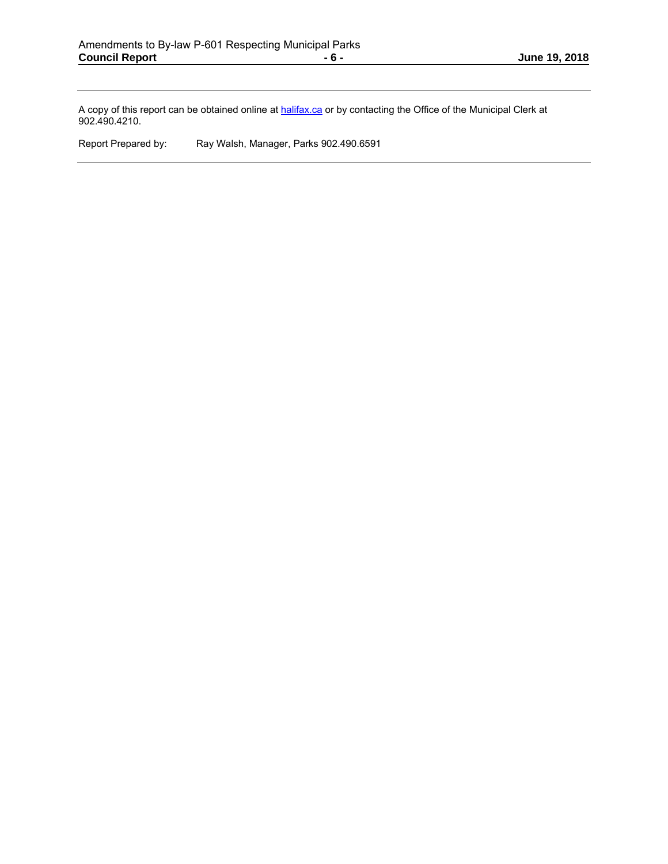A copy of this report can be obtained online at halifax.ca or by contacting the Office of the Municipal Clerk at 902.490.4210.

Report Prepared by: Ray Walsh, Manager, Parks 902.490.6591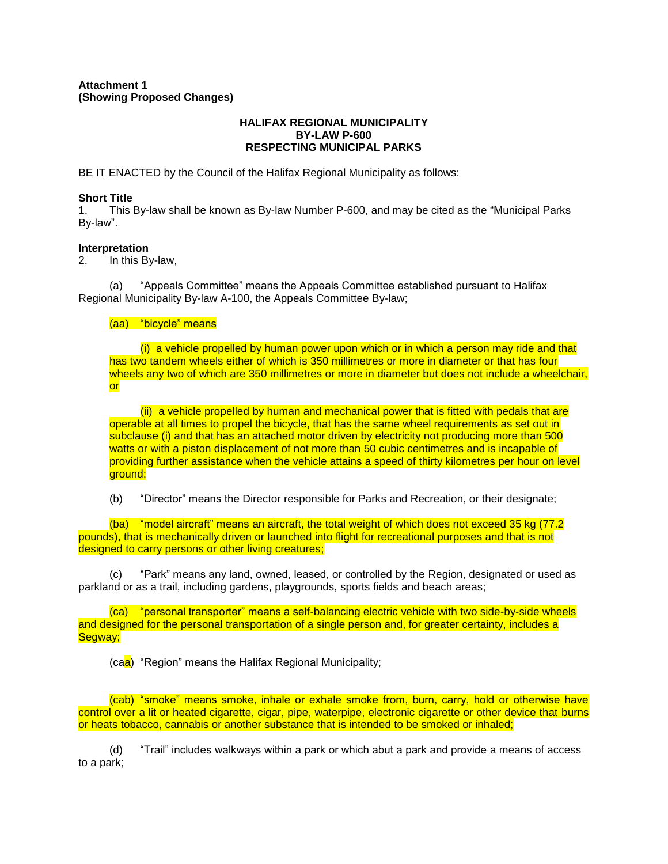### **HALIFAX REGIONAL MUNICIPALITY BY-LAW P-600 RESPECTING MUNICIPAL PARKS**

BE IT ENACTED by the Council of the Halifax Regional Municipality as follows:

### **Short Title**

1. This By-law shall be known as By-law Number P-600, and may be cited as the "Municipal Parks By-law".

### **Interpretation**

2. In this By-law,

(a) "Appeals Committee" means the Appeals Committee established pursuant to Halifax Regional Municipality By-law A-100, the Appeals Committee By-law;

# (aa) "bicycle" means

(i) a vehicle propelled by human power upon which or in which a person may ride and that has two tandem wheels either of which is 350 millimetres or more in diameter or that has four wheels any two of which are 350 millimetres or more in diameter but does not include a wheelchair, or

(ii) a vehicle propelled by human and mechanical power that is fitted with pedals that are operable at all times to propel the bicycle, that has the same wheel requirements as set out in subclause (i) and that has an attached motor driven by electricity not producing more than 500 watts or with a piston displacement of not more than 50 cubic centimetres and is incapable of providing further assistance when the vehicle attains a speed of thirty kilometres per hour on level ground;

(b) "Director" means the Director responsible for Parks and Recreation, or their designate;

(ba) "model aircraft" means an aircraft, the total weight of which does not exceed 35 kg (77.2 pounds), that is mechanically driven or launched into flight for recreational purposes and that is not designed to carry persons or other living creatures;

(c) "Park" means any land, owned, leased, or controlled by the Region, designated or used as parkland or as a trail, including gardens, playgrounds, sports fields and beach areas;

(ca) "personal transporter" means a self-balancing electric vehicle with two side-by-side wheels and designed for the personal transportation of a single person and, for greater certainty, includes a Segway;

(caa) "Region" means the Halifax Regional Municipality;

(cab) "smoke" means smoke, inhale or exhale smoke from, burn, carry, hold or otherwise have control over a lit or heated cigarette, cigar, pipe, waterpipe, electronic cigarette or other device that burns or heats tobacco, cannabis or another substance that is intended to be smoked or inhaled;

(d) "Trail" includes walkways within a park or which abut a park and provide a means of access to a park;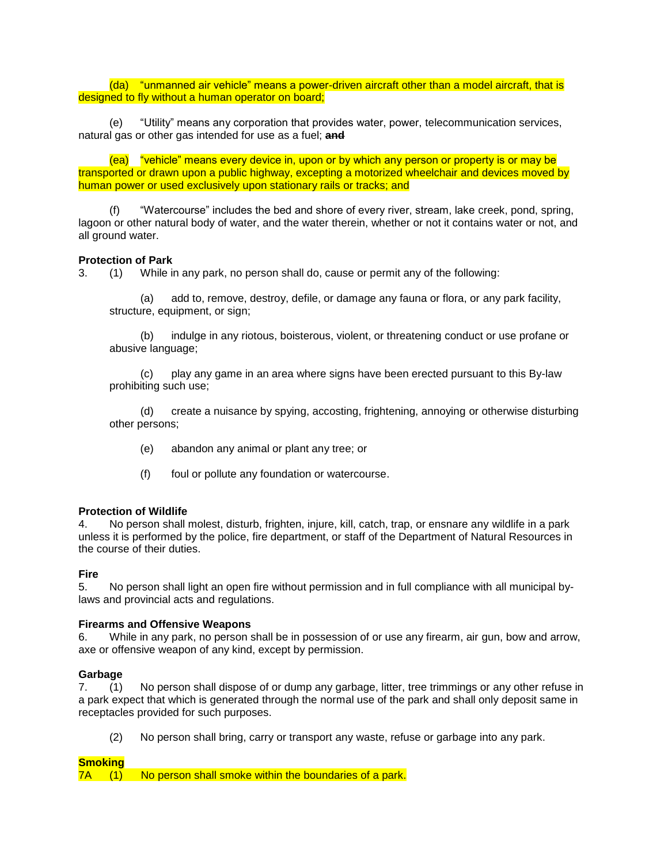(da) "unmanned air vehicle" means a power-driven aircraft other than a model aircraft, that is designed to fly without a human operator on board;

(e) "Utility" means any corporation that provides water, power, telecommunication services, natural gas or other gas intended for use as a fuel; **and**

(ea) "vehicle" means every device in, upon or by which any person or property is or may be transported or drawn upon a public highway, excepting a motorized wheelchair and devices moved by human power or used exclusively upon stationary rails or tracks; and

(f) "Watercourse" includes the bed and shore of every river, stream, lake creek, pond, spring, lagoon or other natural body of water, and the water therein, whether or not it contains water or not, and all ground water.

### **Protection of Park**

3. (1) While in any park, no person shall do, cause or permit any of the following:

(a) add to, remove, destroy, defile, or damage any fauna or flora, or any park facility, structure, equipment, or sign;

(b) indulge in any riotous, boisterous, violent, or threatening conduct or use profane or abusive language;

(c) play any game in an area where signs have been erected pursuant to this By-law prohibiting such use;

(d) create a nuisance by spying, accosting, frightening, annoying or otherwise disturbing other persons;

- (e) abandon any animal or plant any tree; or
- (f) foul or pollute any foundation or watercourse.

### **Protection of Wildlife**

4. No person shall molest, disturb, frighten, injure, kill, catch, trap, or ensnare any wildlife in a park unless it is performed by the police, fire department, or staff of the Department of Natural Resources in the course of their duties.

### **Fire**

5. No person shall light an open fire without permission and in full compliance with all municipal bylaws and provincial acts and regulations.

### **Firearms and Offensive Weapons**

6. While in any park, no person shall be in possession of or use any firearm, air gun, bow and arrow, axe or offensive weapon of any kind, except by permission.

### **Garbage**

7. (1) No person shall dispose of or dump any garbage, litter, tree trimmings or any other refuse in a park expect that which is generated through the normal use of the park and shall only deposit same in receptacles provided for such purposes.

(2) No person shall bring, carry or transport any waste, refuse or garbage into any park.

# **Smoking**

7A (1) No person shall smoke within the boundaries of a park.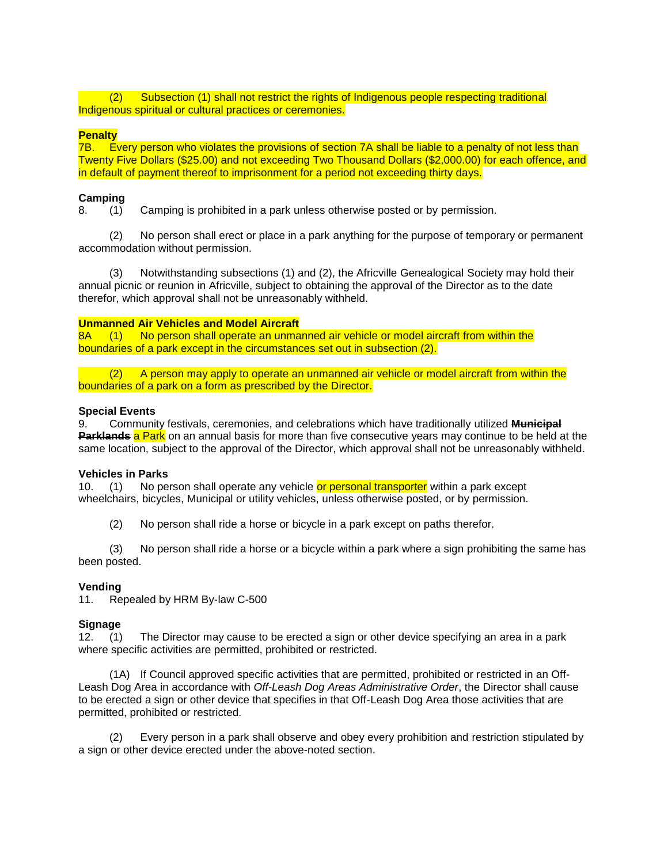(2) Subsection (1) shall not restrict the rights of Indigenous people respecting traditional Indigenous spiritual or cultural practices or ceremonies.

### **Penalty**

7B. Every person who violates the provisions of section 7A shall be liable to a penalty of not less than Twenty Five Dollars (\$25.00) and not exceeding Two Thousand Dollars (\$2,000.00) for each offence, and in default of payment thereof to imprisonment for a period not exceeding thirty days.

### **Camping**

8. (1) Camping is prohibited in a park unless otherwise posted or by permission.

(2) No person shall erect or place in a park anything for the purpose of temporary or permanent accommodation without permission.

(3) Notwithstanding subsections (1) and (2), the Africville Genealogical Society may hold their annual picnic or reunion in Africville, subject to obtaining the approval of the Director as to the date therefor, which approval shall not be unreasonably withheld.

### **Unmanned Air Vehicles and Model Aircraft**

8A (1) No person shall operate an unmanned air vehicle or model aircraft from within the boundaries of a park except in the circumstances set out in subsection (2).

(2) A person may apply to operate an unmanned air vehicle or model aircraft from within the boundaries of a park on a form as prescribed by the Director.

### **Special Events**

9. Community festivals, ceremonies, and celebrations which have traditionally utilized **Municipal Parklands a Park** on an annual basis for more than five consecutive years may continue to be held at the same location, subject to the approval of the Director, which approval shall not be unreasonably withheld.

### **Vehicles in Parks**

10. (1) No person shall operate any vehicle or personal transporter within a park except wheelchairs, bicycles, Municipal or utility vehicles, unless otherwise posted, or by permission.

(2) No person shall ride a horse or bicycle in a park except on paths therefor.

(3) No person shall ride a horse or a bicycle within a park where a sign prohibiting the same has been posted.

### **Vending**

11. Repealed by HRM By-law C-500

# **Signage**

12. (1) The Director may cause to be erected a sign or other device specifying an area in a park where specific activities are permitted, prohibited or restricted.

(1A) If Council approved specific activities that are permitted, prohibited or restricted in an Off-Leash Dog Area in accordance with *Off-Leash Dog Areas Administrative Order*, the Director shall cause to be erected a sign or other device that specifies in that Off-Leash Dog Area those activities that are permitted, prohibited or restricted.

(2) Every person in a park shall observe and obey every prohibition and restriction stipulated by a sign or other device erected under the above-noted section.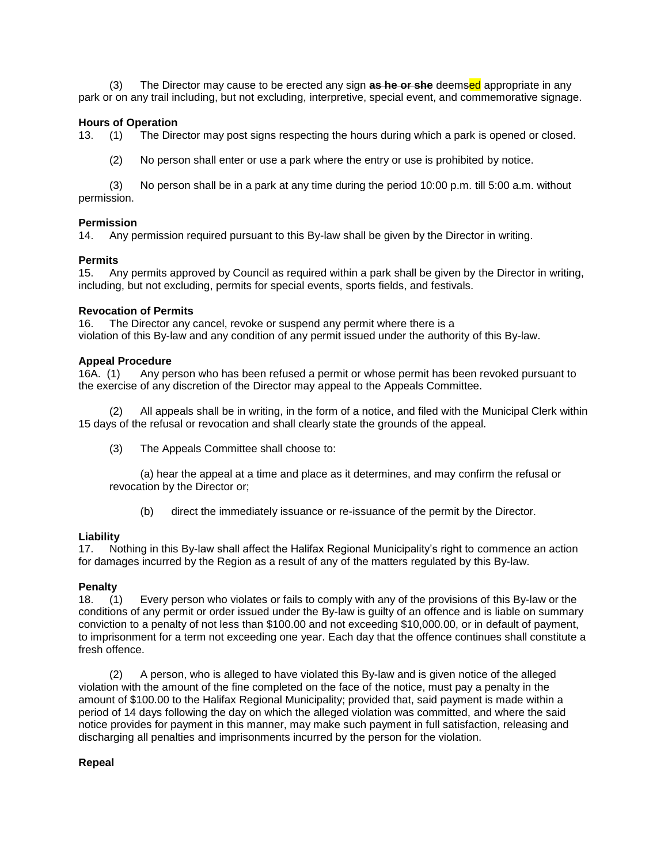(3) The Director may cause to be erected any sign **as he or she** deemsed appropriate in any park or on any trail including, but not excluding, interpretive, special event, and commemorative signage.

### **Hours of Operation**

13. (1) The Director may post signs respecting the hours during which a park is opened or closed.

(2) No person shall enter or use a park where the entry or use is prohibited by notice.

(3) No person shall be in a park at any time during the period 10:00 p.m. till 5:00 a.m. without permission.

### **Permission**

14. Any permission required pursuant to this By-law shall be given by the Director in writing.

### **Permits**

15. Any permits approved by Council as required within a park shall be given by the Director in writing, including, but not excluding, permits for special events, sports fields, and festivals.

### **Revocation of Permits**

16. The Director any cancel, revoke or suspend any permit where there is a violation of this By-law and any condition of any permit issued under the authority of this By-law.

### **Appeal Procedure**

16A. (1) Any person who has been refused a permit or whose permit has been revoked pursuant to the exercise of any discretion of the Director may appeal to the Appeals Committee.

All appeals shall be in writing, in the form of a notice, and filed with the Municipal Clerk within 15 days of the refusal or revocation and shall clearly state the grounds of the appeal.

(3) The Appeals Committee shall choose to:

(a) hear the appeal at a time and place as it determines, and may confirm the refusal or revocation by the Director or;

(b) direct the immediately issuance or re-issuance of the permit by the Director.

### **Liability**

17. Nothing in this By-law shall affect the Halifax Regional Municipality's right to commence an action for damages incurred by the Region as a result of any of the matters regulated by this By-law.

### **Penalty**

18. (1) Every person who violates or fails to comply with any of the provisions of this By-law or the conditions of any permit or order issued under the By-law is guilty of an offence and is liable on summary conviction to a penalty of not less than \$100.00 and not exceeding \$10,000.00, or in default of payment, to imprisonment for a term not exceeding one year. Each day that the offence continues shall constitute a fresh offence.

(2) A person, who is alleged to have violated this By-law and is given notice of the alleged violation with the amount of the fine completed on the face of the notice, must pay a penalty in the amount of \$100.00 to the Halifax Regional Municipality; provided that, said payment is made within a period of 14 days following the day on which the alleged violation was committed, and where the said notice provides for payment in this manner, may make such payment in full satisfaction, releasing and discharging all penalties and imprisonments incurred by the person for the violation.

### **Repeal**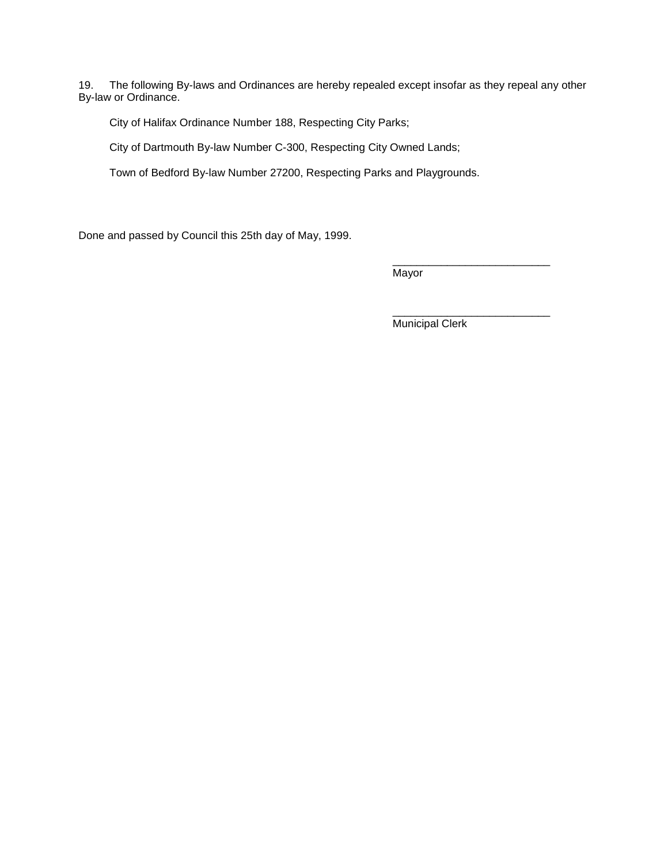19. The following By-laws and Ordinances are hereby repealed except insofar as they repeal any other By-law or Ordinance.

City of Halifax Ordinance Number 188, Respecting City Parks;

City of Dartmouth By-law Number C-300, Respecting City Owned Lands;

Town of Bedford By-law Number 27200, Respecting Parks and Playgrounds.

Done and passed by Council this 25th day of May, 1999.

\_\_\_\_\_\_\_\_\_\_\_\_\_\_\_\_\_\_\_\_\_\_\_\_\_\_ Mayor

Municipal Clerk

\_\_\_\_\_\_\_\_\_\_\_\_\_\_\_\_\_\_\_\_\_\_\_\_\_\_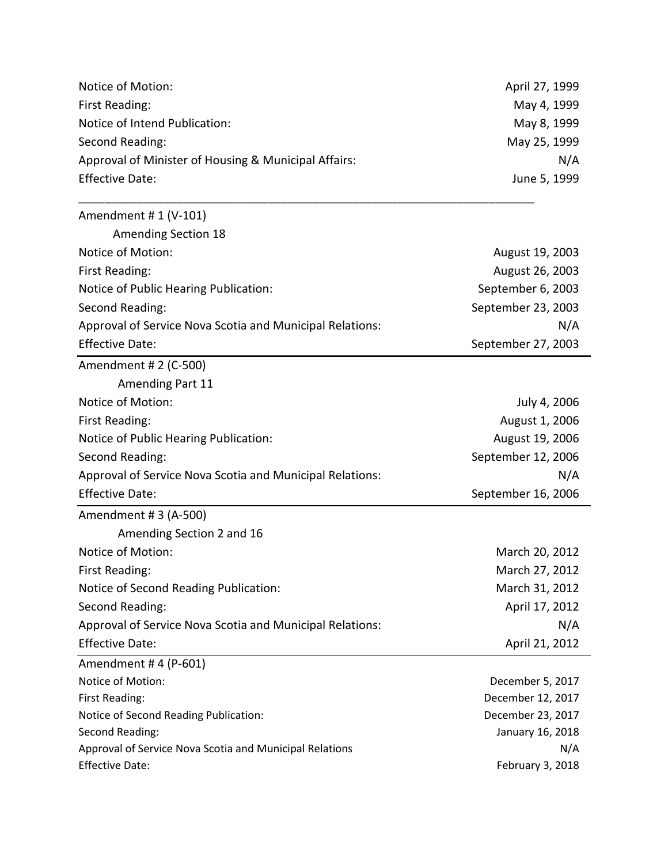| Notice of Motion:                                    | April 27, 1999 |
|------------------------------------------------------|----------------|
| First Reading:                                       | May 4, 1999    |
| Notice of Intend Publication:                        | May 8, 1999    |
| Second Reading:                                      | May 25, 1999   |
| Approval of Minister of Housing & Municipal Affairs: | N/A            |
| <b>Effective Date:</b>                               | June 5, 1999   |

\_\_\_\_\_\_\_\_\_\_\_\_\_\_\_\_\_\_\_\_\_\_\_\_\_\_\_\_\_\_\_\_\_\_\_\_\_\_\_\_\_\_\_\_\_\_\_\_\_\_\_\_\_\_\_\_\_\_\_\_\_\_\_\_\_\_\_\_\_\_

| Amendment # 1 (V-101)                                    |                                                            |
|----------------------------------------------------------|------------------------------------------------------------|
| <b>Amending Section 18</b>                               |                                                            |
| Notice of Motion:                                        | August 19, 2003                                            |
| First Reading:                                           | August 26, 2003<br>September 6, 2003<br>September 23, 2003 |
| Notice of Public Hearing Publication:                    |                                                            |
| Second Reading:                                          |                                                            |
| Approval of Service Nova Scotia and Municipal Relations: | N/A                                                        |
| Effective Date:                                          | September 27, 2003                                         |
| Amendment # 2 (C-500)                                    |                                                            |
| Amending Part 11                                         |                                                            |
| Notice of Motion:                                        | July 4, 2006                                               |
| First Reading:                                           | August 1, 2006                                             |
| Notice of Public Hearing Publication:                    | August 19, 2006                                            |
| Second Reading:                                          | September 12, 2006                                         |
| Approval of Service Nova Scotia and Municipal Relations: | N/A                                                        |
| <b>Effective Date:</b>                                   | September 16, 2006                                         |
| Amendment #3 (A-500)                                     |                                                            |
| Amending Section 2 and 16                                |                                                            |
| Notice of Motion:                                        | March 20, 2012                                             |
| First Reading:                                           | March 27, 2012                                             |
| Notice of Second Reading Publication:                    | March 31, 2012                                             |
| Second Reading:                                          | April 17, 2012                                             |
| Approval of Service Nova Scotia and Municipal Relations: | N/A                                                        |
| <b>Effective Date:</b>                                   | April 21, 2012                                             |
| Amendment #4 (P-601)                                     |                                                            |
| Notice of Motion:                                        | December 5, 2017                                           |
| First Reading:                                           | December 12, 2017                                          |
| Notice of Second Reading Publication:                    | December 23, 2017                                          |
| Second Reading:                                          | January 16, 2018                                           |
| Approval of Service Nova Scotia and Municipal Relations  | N/A                                                        |
| <b>Effective Date:</b>                                   | February 3, 2018                                           |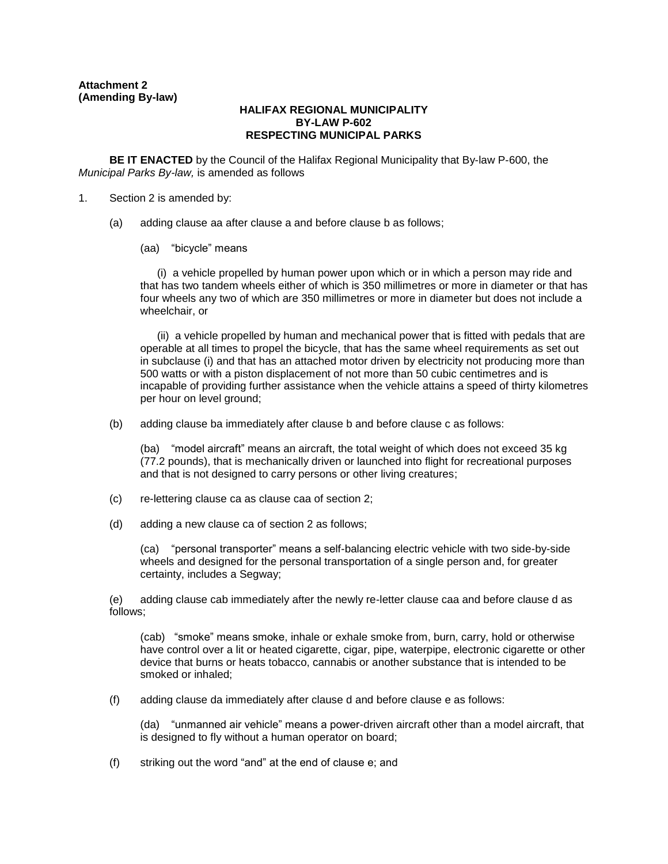### **HALIFAX REGIONAL MUNICIPALITY BY-LAW P-602 RESPECTING MUNICIPAL PARKS**

**BE IT ENACTED** by the Council of the Halifax Regional Municipality that By-law P-600, the *Municipal Parks By-law,* is amended as follows

- 1. Section 2 is amended by:
	- (a) adding clause aa after clause a and before clause b as follows;
		- (aa) "bicycle" means

(i) a vehicle propelled by human power upon which or in which a person may ride and that has two tandem wheels either of which is 350 millimetres or more in diameter or that has four wheels any two of which are 350 millimetres or more in diameter but does not include a wheelchair, or

(ii) a vehicle propelled by human and mechanical power that is fitted with pedals that are operable at all times to propel the bicycle, that has the same wheel requirements as set out in subclause (i) and that has an attached motor driven by electricity not producing more than 500 watts or with a piston displacement of not more than 50 cubic centimetres and is incapable of providing further assistance when the vehicle attains a speed of thirty kilometres per hour on level ground;

(b) adding clause ba immediately after clause b and before clause c as follows:

(ba) "model aircraft" means an aircraft, the total weight of which does not exceed 35 kg (77.2 pounds), that is mechanically driven or launched into flight for recreational purposes and that is not designed to carry persons or other living creatures;

- (c) re-lettering clause ca as clause caa of section 2;
- (d) adding a new clause ca of section 2 as follows;

(ca) "personal transporter" means a self-balancing electric vehicle with two side-by-side wheels and designed for the personal transportation of a single person and, for greater certainty, includes a Segway;

(e) adding clause cab immediately after the newly re-letter clause caa and before clause d as follows;

(cab) "smoke" means smoke, inhale or exhale smoke from, burn, carry, hold or otherwise have control over a lit or heated cigarette, cigar, pipe, waterpipe, electronic cigarette or other device that burns or heats tobacco, cannabis or another substance that is intended to be smoked or inhaled;

(f) adding clause da immediately after clause d and before clause e as follows:

(da) "unmanned air vehicle" means a power-driven aircraft other than a model aircraft, that is designed to fly without a human operator on board;

(f) striking out the word "and" at the end of clause e; and